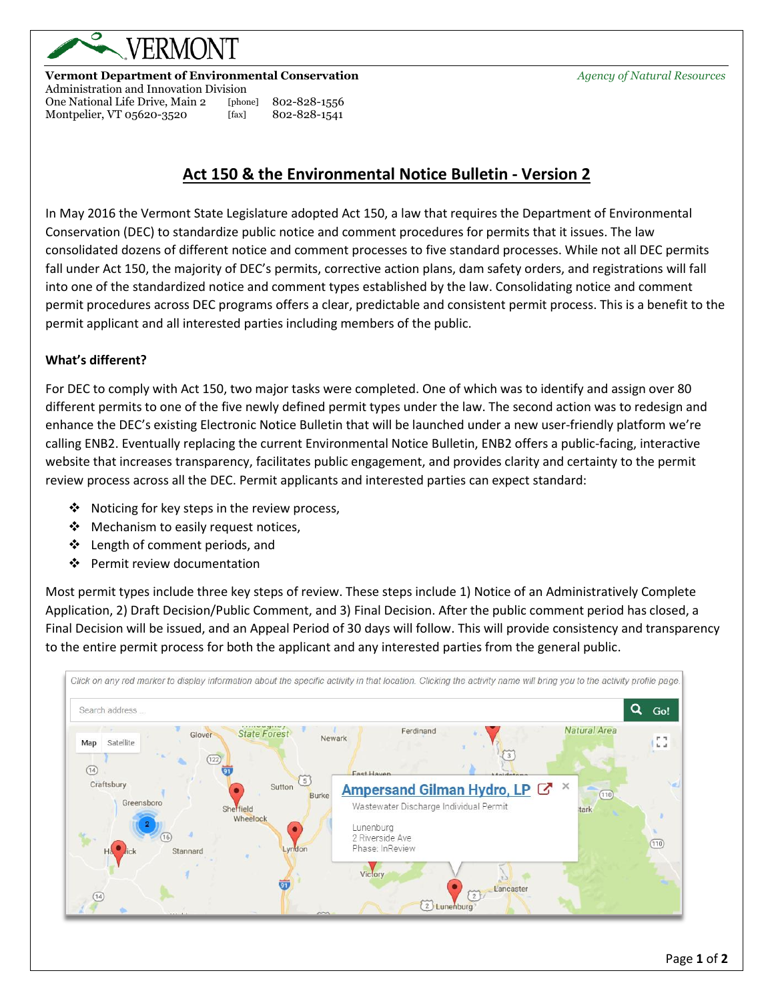

### **Vermont Department of Environmental Conservation** *Agency of Natural Resources*

Administration and Innovation Division One National Life Drive, Main 2 [phone] 802-828-1556 Montpelier, VT 05620-3520 [fax] 802-828-1541

# **Act 150 & the Environmental Notice Bulletin - Version 2**

In May 2016 the Vermont State Legislature adopted Act 150, a law that requires the Department of Environmental Conservation (DEC) to standardize public notice and comment procedures for permits that it issues. The law consolidated dozens of different notice and comment processes to five standard processes. While not all DEC permits fall under Act 150, the majority of DEC's permits, corrective action plans, dam safety orders, and registrations will fall into one of the standardized notice and comment types established by the law. Consolidating notice and comment permit procedures across DEC programs offers a clear, predictable and consistent permit process. This is a benefit to the permit applicant and all interested parties including members of the public.

#### **What's different?**

For DEC to comply with Act 150, two major tasks were completed. One of which was to identify and assign over 80 different permits to one of the five newly defined permit types under the law. The second action was to redesign and enhance the DEC's existing Electronic Notice Bulletin that will be launched under a new user-friendly platform we're calling ENB2. Eventually replacing the current Environmental Notice Bulletin, ENB2 offers a public-facing, interactive website that increases transparency, facilitates public engagement, and provides clarity and certainty to the permit review process across all the DEC. Permit applicants and interested parties can expect standard:

- ❖ Noticing for key steps in the review process,
- ❖ Mechanism to easily request notices,
- ❖ Length of comment periods, and
- ❖ Permit review documentation

Most permit types include three key steps of review. These steps include 1) Notice of an Administratively Complete Application, 2) Draft Decision/Public Comment, and 3) Final Decision. After the public comment period has closed, a Final Decision will be issued, and an Appeal Period of 30 days will follow. This will provide consistency and transparency to the entire permit process for both the applicant and any interested parties from the general public.